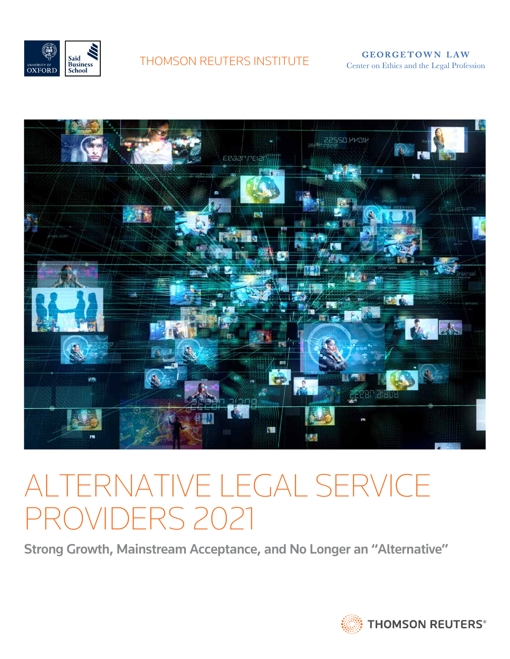

THOMSON REUTERS INSTITUTE<br>
Center on Ethics and the Legal Profession



# Alternative Legal Service Providers 2021

Strong Growth, Mainstream Acceptance, and No Longer an "Alternative"

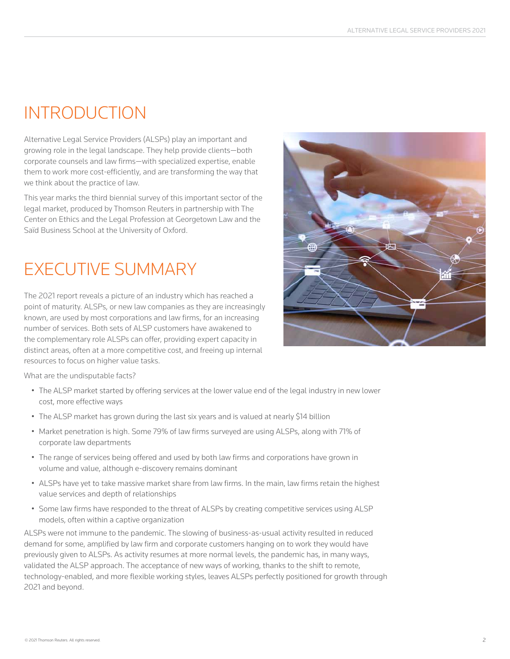### **INTRODUCTION**

Alternative Legal Service Providers (ALSPs) play an important and growing role in the legal landscape. They help provide clients—both corporate counsels and law firms—with specialized expertise, enable them to work more cost-efficiently, and are transforming the way that we think about the practice of law.

This year marks the third biennial survey of this important sector of the legal market, produced by Thomson Reuters in partnership with The Center on Ethics and the Legal Profession at Georgetown Law and the Saïd Business School at the University of Oxford.

## Executive Summary

The 2021 report reveals a picture of an industry which has reached a point of maturity. ALSPs, or new law companies as they are increasingly known, are used by most corporations and law firms, for an increasing number of services. Both sets of ALSP customers have awakened to the complementary role ALSPs can offer, providing expert capacity in distinct areas, often at a more competitive cost, and freeing up internal resources to focus on higher value tasks.



What are the undisputable facts?

- The ALSP market started by offering services at the lower value end of the legal industry in new lower cost, more effective ways
- The ALSP market has grown during the last six years and is valued at nearly \$14 billion
- • Market penetration is high. Some 79% of law firms surveyed are using ALSPs, along with 71% of corporate law departments
- The range of services being offered and used by both law firms and corporations have grown in volume and value, although e-discovery remains dominant
- ALSPs have yet to take massive market share from law firms. In the main, law firms retain the highest value services and depth of relationships
- Some law firms have responded to the threat of ALSPs by creating competitive services using ALSP models, often within a captive organization

ALSPs were not immune to the pandemic. The slowing of business-as-usual activity resulted in reduced demand for some, amplified by law firm and corporate customers hanging on to work they would have previously given to ALSPs. As activity resumes at more normal levels, the pandemic has, in many ways, validated the ALSP approach. The acceptance of new ways of working, thanks to the shift to remote, technology-enabled, and more flexible working styles, leaves ALSPs perfectly positioned for growth through 2021 and beyond.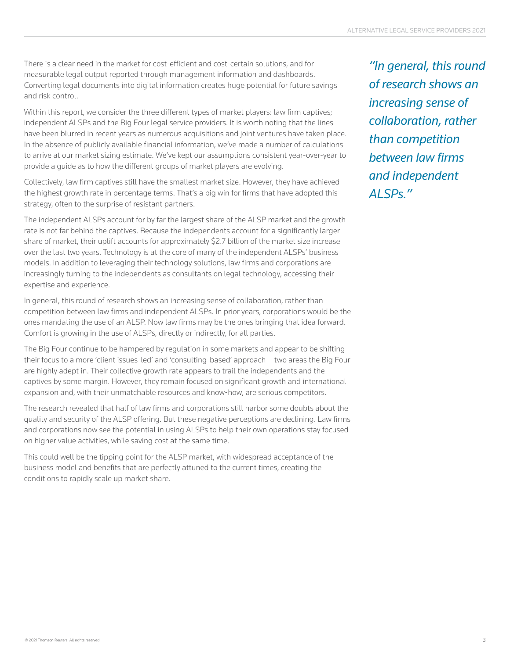There is a clear need in the market for cost-efficient and cost-certain solutions, and for measurable legal output reported through management information and dashboards. Converting legal documents into digital information creates huge potential for future savings and risk control.

Within this report, we consider the three different types of market players: law firm captives; independent ALSPs and the Big Four legal service providers. It is worth noting that the lines have been blurred in recent years as numerous acquisitions and joint ventures have taken place. In the absence of publicly available financial information, we've made a number of calculations to arrive at our market sizing estimate. We've kept our assumptions consistent year-over-year to provide a guide as to how the different groups of market players are evolving.

Collectively, law firm captives still have the smallest market size. However, they have achieved the highest growth rate in percentage terms. That's a big win for firms that have adopted this strategy, often to the surprise of resistant partners.

The independent ALSPs account for by far the largest share of the ALSP market and the growth rate is not far behind the captives. Because the independents account for a significantly larger share of market, their uplift accounts for approximately \$2.7 billion of the market size increase over the last two years. Technology is at the core of many of the independent ALSPs' business models. In addition to leveraging their technology solutions, law firms and corporations are increasingly turning to the independents as consultants on legal technology, accessing their expertise and experience.

In general, this round of research shows an increasing sense of collaboration, rather than competition between law firms and independent ALSPs. In prior years, corporations would be the ones mandating the use of an ALSP. Now law firms may be the ones bringing that idea forward. Comfort is growing in the use of ALSPs, directly or indirectly, for all parties.

The Big Four continue to be hampered by regulation in some markets and appear to be shifting their focus to a more 'client issues-led' and 'consulting-based' approach – two areas the Big Four are highly adept in. Their collective growth rate appears to trail the independents and the captives by some margin. However, they remain focused on significant growth and international expansion and, with their unmatchable resources and know-how, are serious competitors.

The research revealed that half of law firms and corporations still harbor some doubts about the quality and security of the ALSP offering. But these negative perceptions are declining. Law firms and corporations now see the potential in using ALSPs to help their own operations stay focused on higher value activities, while saving cost at the same time.

This could well be the tipping point for the ALSP market, with widespread acceptance of the business model and benefits that are perfectly attuned to the current times, creating the conditions to rapidly scale up market share.

*"In general, this round of research shows an increasing sense of collaboration, rather than competition between law firms and independent ALSPs."*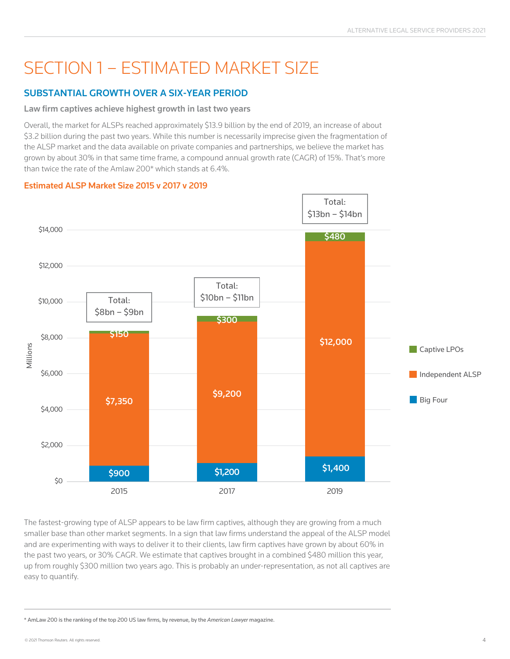### Section 1 – Estimated market size

### Substantial growth over a six-year period

#### Law firm captives achieve highest growth in last two years

Overall, the market for ALSPs reached approximately \$13.9 billion by the end of 2019, an increase of about \$3.2 billion during the past two years. While this number is necessarily imprecise given the fragmentation of the ALSP market and the data available on private companies and partnerships, we believe the market has grown by about 30% in that same time frame, a compound annual growth rate (CAGR) of 15%. That's more than twice the rate of the Amlaw 200\* which stands at 6.4%.

#### Estimated ALSP Market Size 2015 v 2017 v 2019



The fastest-growing type of ALSP appears to be law firm captives, although they are growing from a much smaller base than other market segments. In a sign that law firms understand the appeal of the ALSP model and are experimenting with ways to deliver it to their clients, law firm captives have grown by about 60% in the past two years, or 30% CAGR. We estimate that captives brought in a combined \$480 million this year, up from roughly \$300 million two years ago. This is probably an under-representation, as not all captives are easy to quantify.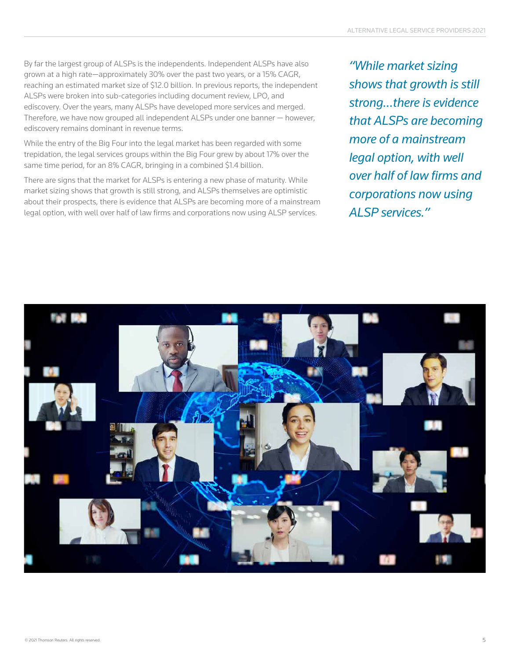By far the largest group of ALSPs is the independents. Independent ALSPs have also grown at a high rate—approximately 30% over the past two years, or a 15% CAGR, reaching an estimated market size of \$12.0 billion. In previous reports, the independent ALSPs were broken into sub-categories including document review, LPO, and ediscovery. Over the years, many ALSPs have developed more services and merged. Therefore, we have now grouped all independent ALSPs under one banner — however, ediscovery remains dominant in revenue terms.

While the entry of the Big Four into the legal market has been regarded with some trepidation, the legal services groups within the Big Four grew by about 17% over the same time period, for an 8% CAGR, bringing in a combined \$1.4 billion.

There are signs that the market for ALSPs is entering a new phase of maturity. While market sizing shows that growth is still strong, and ALSPs themselves are optimistic about their prospects, there is evidence that ALSPs are becoming more of a mainstream legal option, with well over half of law firms and corporations now using ALSP services.

*"While market sizing shows that growth is still strong…there is evidence that ALSPs are becoming more of a mainstream legal option, with well over half of law firms and corporations now using ALSP services."*

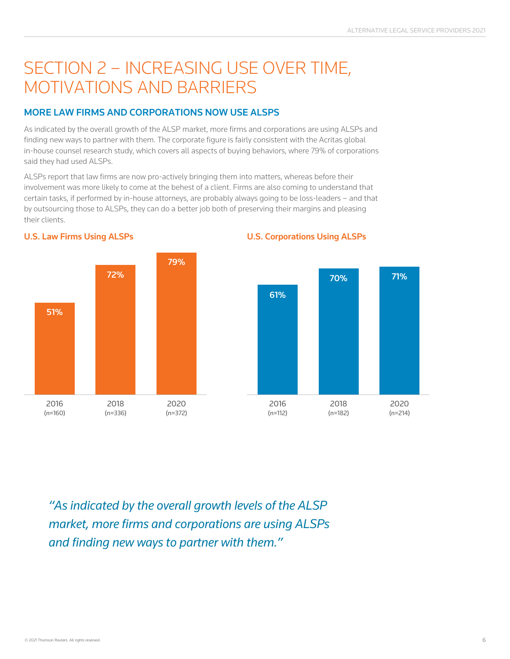### Section 2 – Increasing use over time, motivations and barriers

#### More Law Firms and Corporations now Use ALSPs

As indicated by the overall growth of the ALSP market, more firms and corporations are using ALSPs and finding new ways to partner with them. The corporate figure is fairly consistent with the Acritas global in-house counsel research study, which covers all aspects of buying behaviors, where 79% of corporations said they had used ALSPs.

ALSPs report that law firms are now pro-actively bringing them into matters, whereas before their involvement was more likely to come at the behest of a client. Firms are also coming to understand that certain tasks, if performed by in-house attorneys, are probably always going to be loss-leaders – and that by outsourcing those to ALSPs, they can do a better job both of preserving their margins and pleasing their clients.



U.S. Law Firms Using ALSPs **U.S. Corporations Using ALSPs** 



*"As indicated by the overall growth levels of the ALSP market, more firms and corporations are using ALSPs and finding new ways to partner with them."*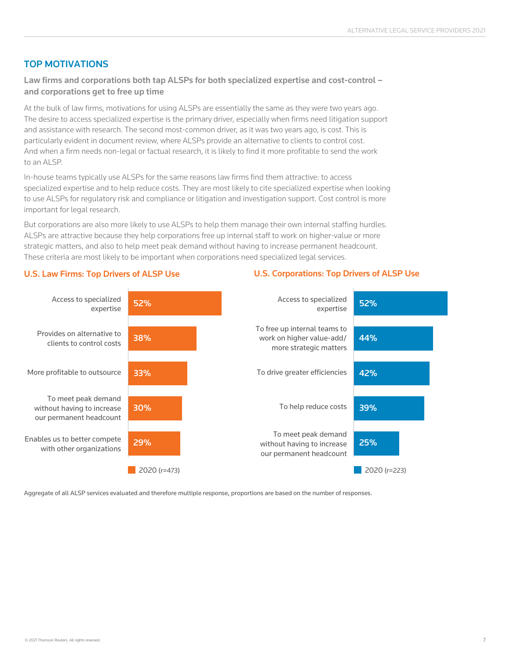#### Top Motivations

Law firms and corporations both tap ALSPs for both specialized expertise and cost-control – and corporations get to free up time

At the bulk of law firms, motivations for using ALSPs are essentially the same as they were two years ago. The desire to access specialized expertise is the primary driver, especially when firms need litigation support and assistance with research. The second most-common driver, as it was two years ago, is cost. This is particularly evident in document review, where ALSPs provide an alternative to clients to control cost. And when a firm needs non-legal or factual research, it is likely to find it more profitable to send the work to an ALSP.

In-house teams typically use ALSPs for the same reasons law firms find them attractive: to access specialized expertise and to help reduce costs. They are most likely to cite specialized expertise when looking to use ALSPs for regulatory risk and compliance or litigation and investigation support. Cost control is more important for legal research.

But corporations are also more likely to use ALSPs to help them manage their own internal staffing hurdles. ALSPs are attractive because they help corporations free up internal staff to work on higher-value or more strategic matters, and also to help meet peak demand without having to increase permanent headcount. These criteria are most likely to be important when corporations need specialized legal services.



#### U.S. Law Firms: Top Drivers of ALSP Use U.S. Corporations: Top Drivers of ALSP Use

Aggregate of all ALSP services evaluated and therefore multiple response, proportions are based on the number of responses.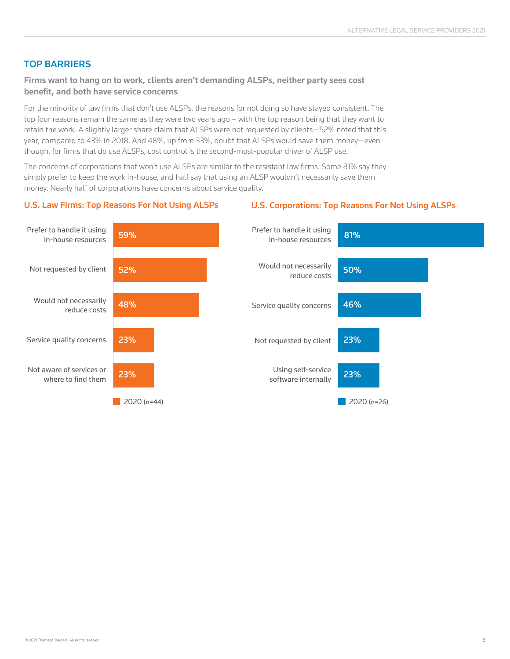#### Top Barriers

#### Firms want to hang on to work, clients aren't demanding ALSPs, neither party sees cost benefit, and both have service concerns

For the minority of law firms that don't use ALSPs, the reasons for not doing so have stayed consistent. The top four reasons remain the same as they were two years ago – with the top reason being that they want to retain the work. A slightly larger share claim that ALSPs were not requested by clients—52% noted that this year, compared to 43% in 2018. And 48%, up from 33%, doubt that ALSPs would save them money—even though, for firms that do use ALSPs, cost control is the second-most-popular driver of ALSP use.

The concerns of corporations that won't use ALSPs are similar to the resistant law firms. Some 81% say they simply prefer to keep the work in-house, and half say that using an ALSP wouldn't necessarily save them money. Nearly half of corporations have concerns about service quality.

#### U.S. Law Firms: Top Reasons For Not Using ALSPs U.S. Corporations: Top Reasons For Not Using ALSPs

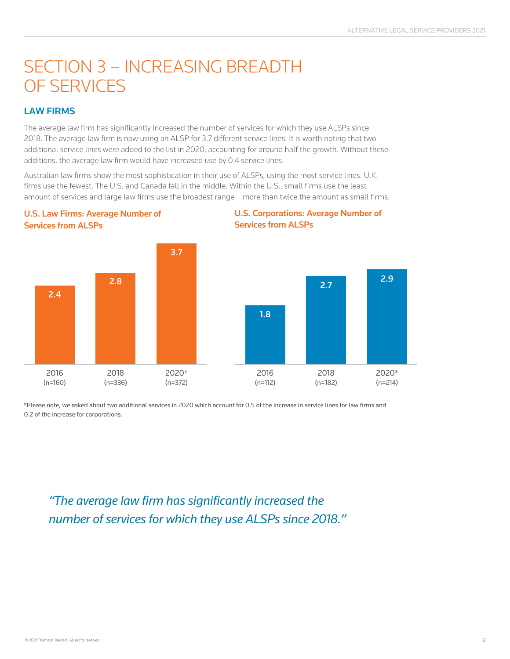### SECTION 3 - INCREASING BREADTH of services

#### Law Firms

U.S. Law Firms: Average Number of

The average law firm has significantly increased the number of services for which they use ALSPs since 2018. The average law firm is now using an ALSP for 3.7 different service lines. It is worth noting that two additional service lines were added to the list in 2020, accounting for around half the growth. Without these additions, the average law firm would have increased use by 0.4 service lines.

Australian law firms show the most sophistication in their use of ALSPs, using the most service lines. U.K. firms use the fewest. The U.S. and Canada fall in the middle. Within the U.S., small firms use the least amount of services and large law firms use the broadest range – more than twice the amount as small firms.







\*Please note, we asked about two additional services in 2020 which account for 0.5 of the increase in service lines for law firms and 0.2 of the increase for corporations.

*"The average law firm has significantly increased the number of services for which they use ALSPs since 2018."*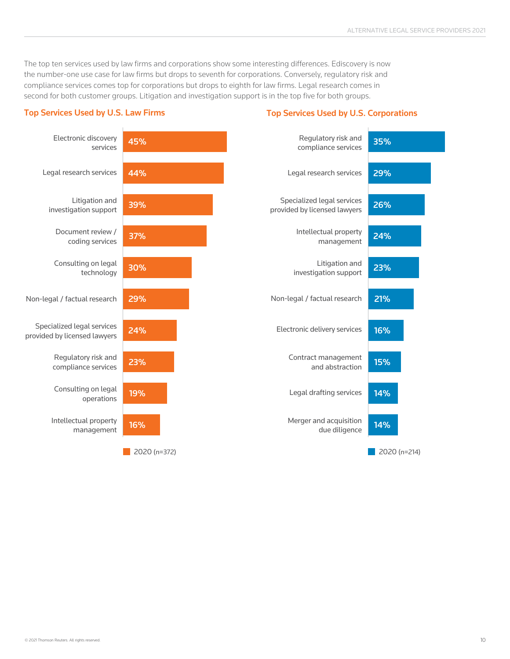The top ten services used by law firms and corporations show some interesting differences. Ediscovery is now the number-one use case for law firms but drops to seventh for corporations. Conversely, regulatory risk and compliance services comes top for corporations but drops to eighth for law firms. Legal research comes in second for both customer groups. Litigation and investigation support is in the top five for both groups.

#### Top Services Used by U.S. Law Firms Top Services Used by U.S. Corporations

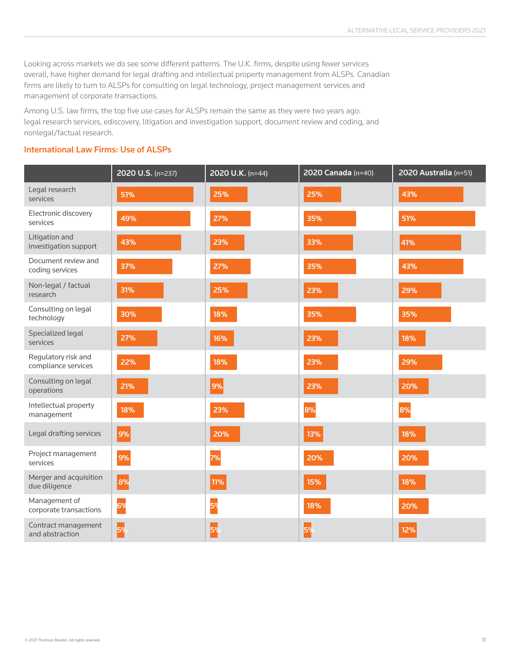Looking across markets we do see some different patterns. The U.K. firms, despite using fewer services overall, have higher demand for legal drafting and intellectual property management from ALSPs. Canadian firms are likely to turn to ALSPs for consulting on legal technology, project management services and management of corporate transactions.

Among U.S. law firms, the top five use cases for ALSPs remain the same as they were two years ago: legal research services, ediscovery, litigation and investigation support, document review and coding, and nonlegal/factual research.

#### International Law Firms: Use of ALSPs

|                                            | 2020 U.S. (n=237) | 2020 U.K. (n=44) | 2020 Canada (n=40) | 2020 Australia (n=51) |
|--------------------------------------------|-------------------|------------------|--------------------|-----------------------|
| Legal research<br>services                 | 51%               | 25%              | 25%                | 43%                   |
| Electronic discovery<br>services           | 49%               | 27%              | 35%                | 51%                   |
| Litigation and<br>investigation support    | 43%               | 23%              | 33%                | 41%                   |
| Document review and<br>coding services     | 37%               | 27%              | 35%                | 43%                   |
| Non-legal / factual<br>research            | 31%               | 25%              | 23%                | 29%                   |
| Consulting on legal<br>technology          | 30%               | 18%              | 35%                | 35%                   |
| Specialized legal<br>services              | 27%               | 16%              | 23%                | 18%                   |
| Regulatory risk and<br>compliance services | 22%               | 18%              | 23%                | 29%                   |
| Consulting on legal<br>operations          | 21%               | 9%               | 23%                | 20%                   |
| Intellectual property<br>management        | 18%               | 23%              | 8%                 | 8%                    |
| Legal drafting services                    | 9%                | 20%              | 13%                | 18%                   |
| Project management<br>services             | 9%                | 7%               | 20%                | 20%                   |
| Merger and acquisition<br>due diligence    | 8%                | 11%              | 15%                | 18%                   |
| Management of<br>corporate transactions    | 6%                | 5%               | 18%                | 20%                   |
| Contract management<br>and abstraction     | 5%                | 5%               | 5%                 | 12%                   |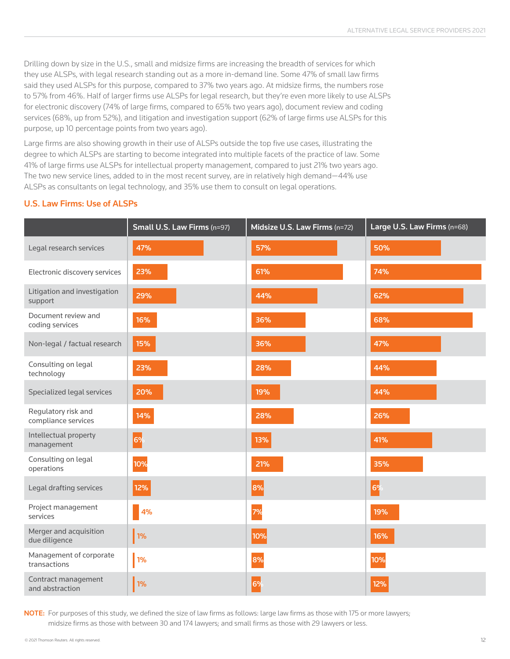Drilling down by size in the U.S., small and midsize firms are increasing the breadth of services for which they use ALSPs, with legal research standing out as a more in-demand line. Some 47% of small law firms said they used ALSPs for this purpose, compared to 37% two years ago. At midsize firms, the numbers rose to 57% from 46%. Half of larger firms use ALSPs for legal research, but they're even more likely to use ALSPs for electronic discovery (74% of large firms, compared to 65% two years ago), document review and coding services (68%, up from 52%), and litigation and investigation support (62% of large firms use ALSPs for this purpose, up 10 percentage points from two years ago).

Large firms are also showing growth in their use of ALSPs outside the top five use cases, illustrating the degree to which ALSPs are starting to become integrated into multiple facets of the practice of law. Some 41% of large firms use ALSPs for intellectual property management, compared to just 21% two years ago. The two new service lines, added to in the most recent survey, are in relatively high demand-44% use ALSPs as consultants on legal technology, and 35% use them to consult on legal operations.

#### U.S. Law Firms: Use of ALSPs

|                                            | Small U.S. Law Firms (n=97) | Midsize U.S. Law Firms (n=72) | Large U.S. Law Firms (n=68) |
|--------------------------------------------|-----------------------------|-------------------------------|-----------------------------|
| Legal research services                    | 47%                         | 57%                           | 50%                         |
| Electronic discovery services              | 23%                         | 61%                           | 74%                         |
| Litigation and investigation<br>support    | 29%                         | 44%                           | 62%                         |
| Document review and<br>coding services     | 16%                         | 36%                           | 68%                         |
| Non-legal / factual research               | 15%                         | 36%                           | 47%                         |
| Consulting on legal<br>technology          | 23%                         | 28%                           | 44%                         |
| Specialized legal services                 | 20%                         | 19%                           | 44%                         |
| Regulatory risk and<br>compliance services | 14%                         | 28%                           | 26%                         |
| Intellectual property<br>management        | 6%                          | 13%                           | 41%                         |
| Consulting on legal<br>operations          | 10%                         | 21%                           | 35%                         |
| Legal drafting services                    | 12%                         | 8%                            | 69                          |
| Project management<br>services             | 4%                          | 7%                            | 19%                         |
| Merger and acquisition<br>due diligence    | 1%                          | 10%                           | 16%                         |
| Management of corporate<br>transactions    | 1%                          | 8%                            | 10%                         |
| Contract management<br>and abstraction     | 1%                          | 6%                            | 12%                         |

NOTE: For purposes of this study, we defined the size of law firms as follows: large law firms as those with 175 or more lawyers; midsize firms as those with between 30 and 174 lawyers; and small firms as those with 29 lawyers or less.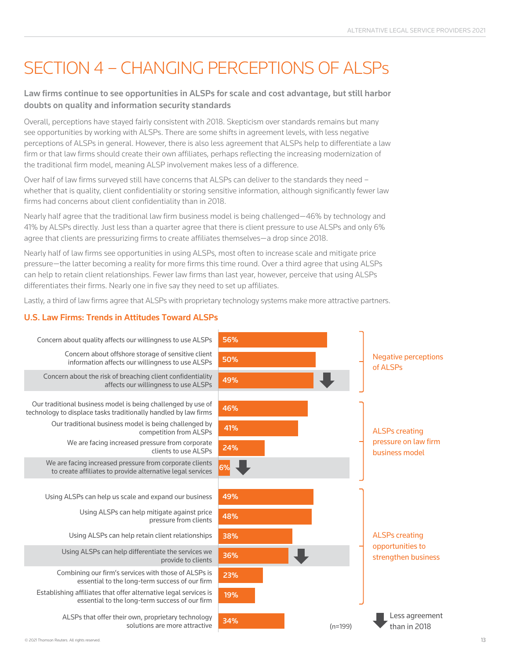## Section 4 – Changing perceptions of ALSPs

#### Law firms continue to see opportunities in ALSPs for scale and cost advantage, but still harbor doubts on quality and information security standards

Overall, perceptions have stayed fairly consistent with 2018. Skepticism over standards remains but many see opportunities by working with ALSPs. There are some shifts in agreement levels, with less negative perceptions of ALSPs in general. However, there is also less agreement that ALSPs help to differentiate a law firm or that law firms should create their own affiliates, perhaps reflecting the increasing modernization of the traditional firm model, meaning ALSP involvement makes less of a difference.

Over half of law firms surveyed still have concerns that ALSPs can deliver to the standards they need – whether that is quality, client confidentiality or storing sensitive information, although significantly fewer law firms had concerns about client confidentiality than in 2018.

Nearly half agree that the traditional law firm business model is being challenged—46% by technology and 41% by ALSPs directly. Just less than a quarter agree that there is client pressure to use ALSPs and only 6% agree that clients are pressurizing firms to create affiliates themselves—a drop since 2018.

Nearly half of law firms see opportunities in using ALSPs, most often to increase scale and mitigate price pressure—the latter becoming a reality for more firms this time round. Over a third agree that using ALSPs can help to retain client relationships. Fewer law firms than last year, however, perceive that using ALSPs differentiates their firms. Nearly one in five say they need to set up affiliates.

Lastly, a third of law firms agree that ALSPs with proprietary technology systems make more attractive partners.

#### U.S. Law Firms: Trends in Attitudes Toward ALSPs

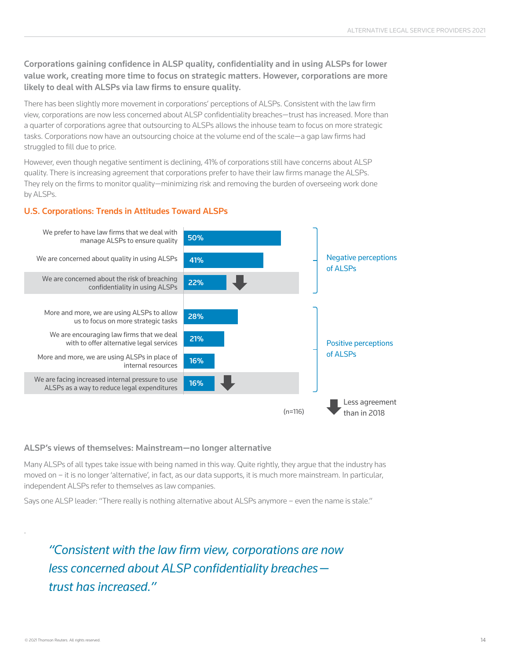#### Corporations gaining confidence in ALSP quality, confidentiality and in using ALSPs for lower value work, creating more time to focus on strategic matters. However, corporations are more likely to deal with ALSPs via law firms to ensure quality.

There has been slightly more movement in corporations' perceptions of ALSPs. Consistent with the law firm view, corporations are now less concerned about ALSP confidentiality breaches—trust has increased. More than a quarter of corporations agree that outsourcing to ALSPs allows the inhouse team to focus on more strategic tasks. Corporations now have an outsourcing choice at the volume end of the scale—a gap law firms had struggled to fill due to price.

However, even though negative sentiment is declining, 41% of corporations still have concerns about ALSP quality. There is increasing agreement that corporations prefer to have their law firms manage the ALSPs. They rely on the firms to monitor quality—minimizing risk and removing the burden of overseeing work done by ALSPs.

#### U.S. Corporations: Trends in Attitudes Toward ALSPs



#### ALSP's views of themselves: Mainstream—no longer alternative

Many ALSPs of all types take issue with being named in this way. Quite rightly, they argue that the industry has moved on – it is no longer 'alternative', in fact, as our data supports, it is much more mainstream. In particular, independent ALSPs refer to themselves as law companies.

Says one ALSP leader: "There really is nothing alternative about ALSPs anymore – even the name is stale."

*"Consistent with the law firm view, corporations are now less concerned about ALSP confidentiality breaches trust has increased."*

.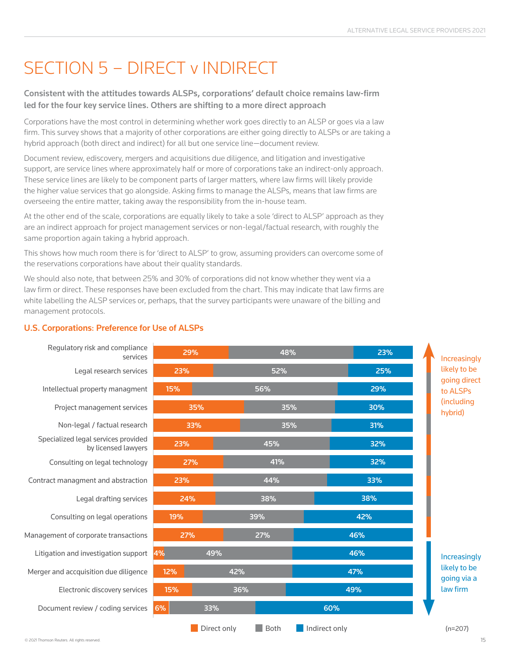## SECTION 5 - DIRECT v INDIRECT

#### Consistent with the attitudes towards ALSPs, corporations' default choice remains law-firm led for the four key service lines. Others are shifting to a more direct approach

Corporations have the most control in determining whether work goes directly to an ALSP or goes via a law firm. This survey shows that a majority of other corporations are either going directly to ALSPs or are taking a hybrid approach (both direct and indirect) for all but one service line—document review.

Document review, ediscovery, mergers and acquisitions due diligence, and litigation and investigative support, are service lines where approximately half or more of corporations take an indirect-only approach. These service lines are likely to be component parts of larger matters, where law firms will likely provide the higher value services that go alongside. Asking firms to manage the ALSPs, means that law firms are overseeing the entire matter, taking away the responsibility from the in-house team.

At the other end of the scale, corporations are equally likely to take a sole 'direct to ALSP' approach as they are an indirect approach for project management services or non-legal/factual research, with roughly the same proportion again taking a hybrid approach.

This shows how much room there is for 'direct to ALSP' to grow, assuming providers can overcome some of the reservations corporations have about their quality standards.

We should also note, that between 25% and 30% of corporations did not know whether they went via a law firm or direct. These responses have been excluded from the chart. This may indicate that law firms are white labelling the ALSP services or, perhaps, that the survey participants were unaware of the billing and management protocols.

### U.S. Corporations: Preference for Use of ALSPs

| Regulatory risk and compliance                             |     |             |             |               |     |                              |                             |  |
|------------------------------------------------------------|-----|-------------|-------------|---------------|-----|------------------------------|-----------------------------|--|
| services                                                   | 29% |             | 48%         |               | 23% |                              | Increasingly                |  |
| Legal research services                                    | 23% |             | 52%         |               | 25% |                              | likely to be                |  |
| Intellectual property managment                            | 15% |             | 56%         |               | 29% |                              | going direct<br>to ALSPs    |  |
| Project management services                                | 35% |             | 35%         |               | 30% | <i>(including</i><br>hybrid) |                             |  |
| Non-legal / factual research                               | 33% |             | 35%         |               | 31% |                              |                             |  |
| Specialized legal services provided<br>by licensed lawyers | 23% |             | 45%         |               | 32% |                              |                             |  |
| Consulting on legal technology                             | 27% |             | 41%         |               | 32% |                              |                             |  |
| Contract managment and abstraction                         | 23% |             | 44%         |               | 33% |                              |                             |  |
| Legal drafting services                                    | 24% |             | 38%         |               | 38% |                              |                             |  |
| Consulting on legal operations                             | 19% |             | 39%         |               | 42% |                              |                             |  |
| Management of corporate transactions                       | 27% |             | 27%         |               | 46% |                              |                             |  |
| Litigation and investigation support                       | 4%  | 49%         |             |               | 46% |                              | Increasingly                |  |
| Merger and accquisition due diligence                      | 12% |             | 42%         |               | 47% |                              | likely to be<br>going via a |  |
| Electronic discovery services                              | 15% |             | 36%         |               | 49% |                              | law firm                    |  |
| Document review / coding services                          | 6%  | 33%         |             |               | 60% |                              |                             |  |
|                                                            |     | Direct only | <b>Both</b> | Indirect only |     |                              | $(n=207)$                   |  |

© 2021 Thomson Reuters. All rights reserved.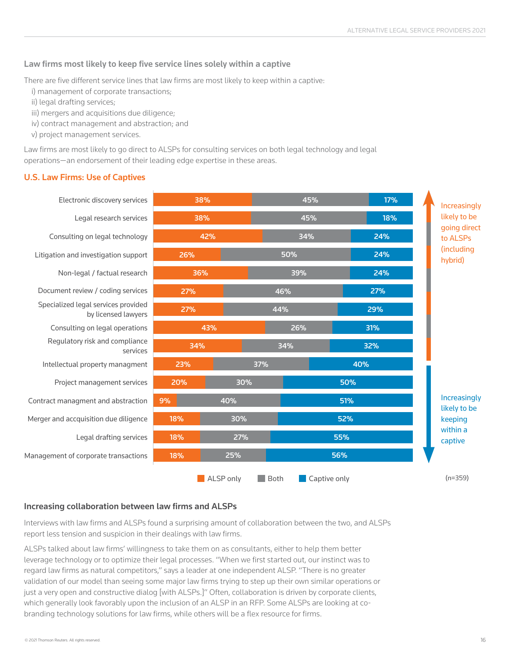#### Law firms most likely to keep five service lines solely within a captive

There are five different service lines that law firms are most likely to keep within a captive:

- i) management of corporate transactions;
- ii) legal drafting services;
- iii) mergers and acquisitions due diligence;
- iv) contract management and abstraction; and
- v) project management services.

Law firms are most likely to go direct to ALSPs for consulting services on both legal technology and legal operations—an endorsement of their leading edge expertise in these areas.

#### U.S. Law Firms: Use of Captives



#### Increasing collaboration between law firms and ALSPs

Interviews with law firms and ALSPs found a surprising amount of collaboration between the two, and ALSPs report less tension and suspicion in their dealings with law firms.

ALSPs talked about law firms' willingness to take them on as consultants, either to help them better leverage technology or to optimize their legal processes. "When we first started out, our instinct was to regard law firms as natural competitors," says a leader at one independent ALSP. "There is no greater validation of our model than seeing some major law firms trying to step up their own similar operations or just a very open and constructive dialog [with ALSPs.]" Often, collaboration is driven by corporate clients, which generally look favorably upon the inclusion of an ALSP in an RFP. Some ALSPs are looking at cobranding technology solutions for law firms, while others will be a flex resource for firms.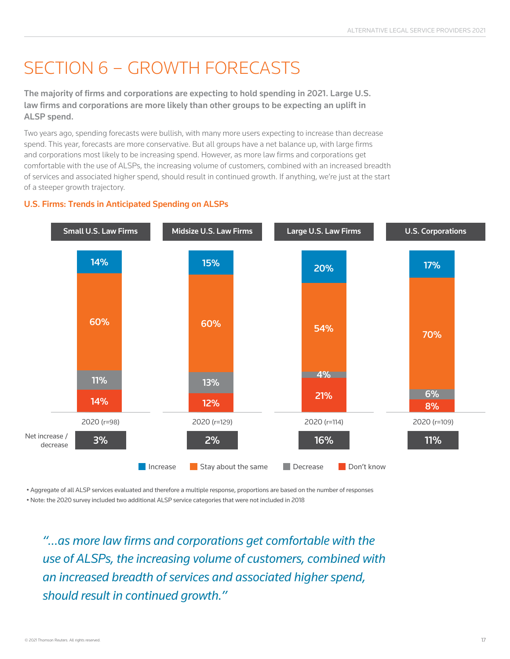## Section 6 – Growth forecasts

The majority of firms and corporations are expecting to hold spending in 2021. Large U.S. law firms and corporations are more likely than other groups to be expecting an uplift in ALSP spend.

Two years ago, spending forecasts were bullish, with many more users expecting to increase than decrease spend. This year, forecasts are more conservative. But all groups have a net balance up, with large firms and corporations most likely to be increasing spend. However, as more law firms and corporations get comfortable with the use of ALSPs, the increasing volume of customers, combined with an increased breadth of services and associated higher spend, should result in continued growth. If anything, we're just at the start of a steeper growth trajectory.



#### U.S. Firms: Trends in Anticipated Spending on ALSPs

• Aggregate of all ALSP services evaluated and therefore a multiple response, proportions are based on the number of responses • Note: the 2020 survey included two additional ALSP service categories that were not included in 2018

*"…as more law firms and corporations get comfortable with the use of ALSPs, the increasing volume of customers, combined with an increased breadth of services and associated higher spend, should result in continued growth."*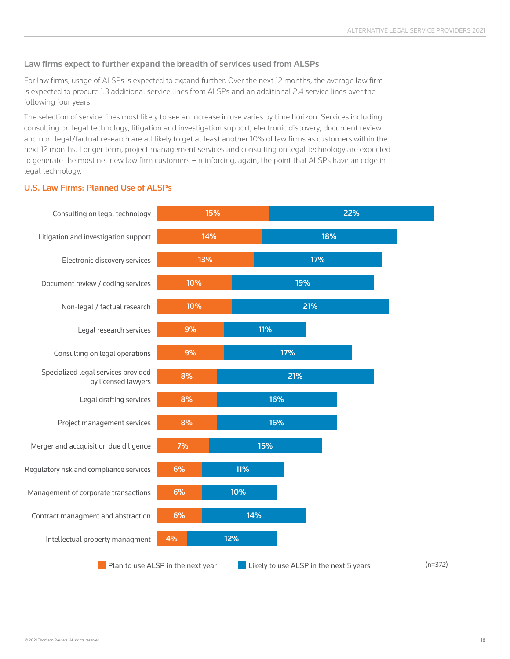#### Law firms expect to further expand the breadth of services used from ALSPs

For law firms, usage of ALSPs is expected to expand further. Over the next 12 months, the average law firm is expected to procure 1.3 additional service lines from ALSPs and an additional 2.4 service lines over the following four years.

The selection of service lines most likely to see an increase in use varies by time horizon. Services including consulting on legal technology, litigation and investigation support, electronic discovery, document review and non-legal/factual research are all likely to get at least another 10% of law firms as customers within the next 12 months. Longer term, project management services and consulting on legal technology are expected to generate the most net new law firm customers - reinforcing, again, the point that ALSPs have an edge in legal technology.

#### U.S. Law Firms: Planned Use of ALSPs

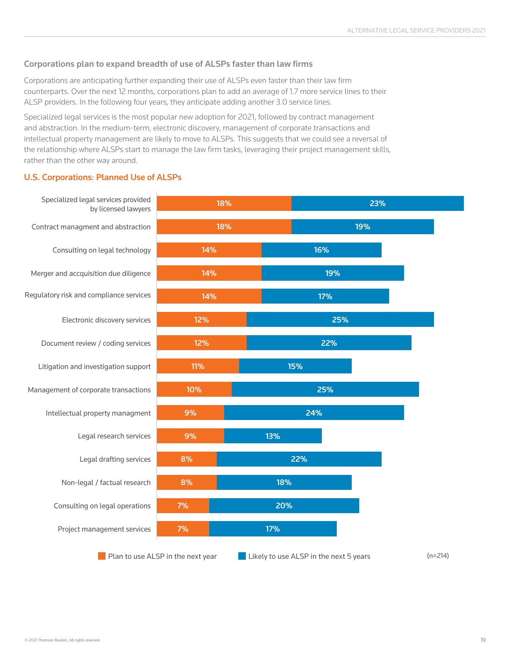#### Corporations plan to expand breadth of use of ALSPs faster than law firms

Corporations are anticipating further expanding their use of ALSPs even faster than their law firm counterparts. Over the next 12 months, corporations plan to add an average of 1.7 more service lines to their ALSP providers. In the following four years, they anticipate adding another 3.0 service lines.

Specialized legal services is the most popular new adoption for 2021, followed by contract management and abstraction. In the medium-term, electronic discovery, management of corporate transactions and intellectual property management are likely to move to ALSPs. This suggests that we could see a reversal of the relationship where ALSPs start to manage the law firm tasks, leveraging their project management skills, rather than the other way around.

#### U.S. Corporations: Planned Use of ALSPs

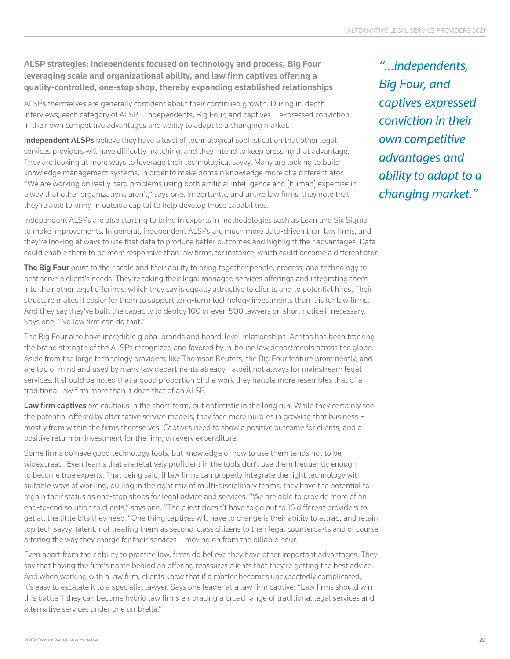#### ALSP strategies: Independents focused on technology and process, Big Four leveraging scale and organizational ability, and law firm captives offering a quality-controlled, one-stop shop, thereby expanding established relationships

ALSPs themselves are generally confident about their continued growth. During in-depth interviews, each category of ALSP – independents, Big Four, and captives – expressed conviction in their own competitive advantages and ability to adapt to a changing market.

Independent ALSPs believe they have a level of technological sophistication that other legal services providers will have difficulty matching, and they intend to keep pressing that advantage. They are looking at more ways to leverage their technological savvy. Many are looking to build knowledge management systems, in order to make domain knowledge more of a differentiator. "We are working on really hard problems using both artificial intelligence and [human] expertise in a way that other organizations aren't," says one. Importantly, and unlike law firms, they note that they're able to bring in outside capital to help develop those capabilities.

Independent ALSPs are also starting to bring in experts in methodologies such as Lean and Six Sigma to make improvements. In general, independent ALSPs are much more data-driven than law firms, and they're looking at ways to use that data to produce better outcomes and highlight their advantages. Data could enable them to be more responsive than law firms, for instance, which could become a differentiator.

The Big Four point to their scale and their ability to bring together people, process, and technology to best serve a client's needs. They're taking their legal managed services offerings and integrating them into their other legal offerings, which they say is equally attractive to clients and to potential hires. Their structure makes it easier for them to support long-term technology investments than it is for law firms. And they say they've built the capacity to deploy 100 or even 500 lawyers on short notice if necessary. Says one, "No law firm can do that."

The Big Four also have incredible global brands and board-level relationships. Acritas has been tracking the brand strength of the ALSPs recognized and favored by in-house law departments across the globe. Aside from the large technology providers, like Thomson Reuters, the Big Four feature prominently, and are top of mind and used by many law departments already—albeit not always for mainstream legal services. It should be noted that a good proportion of the work they handle more resembles that of a traditional law firm more than it does that of an ALSP.

Law firm captives are cautious in the short-term, but optimistic in the long run. While they certainly see the potential offered by alternative service models, they face more hurdles in growing that business – mostly from within the firms themselves. Captives need to show a positive outcome for clients, and a positive return on investment for the firm, on every expenditure.

Some firms do have good technology tools, but knowledge of how to use them tends not to be widespread. Even teams that are relatively proficient in the tools don't use them frequently enough to become true experts. That being said, if law firms can properly integrate the right technology with suitable ways of working, pulling in the right mix of multi-disciplinary teams, they have the potential to regain their status as one-stop shops for legal advice and services. "We are able to provide more of an end-to-end solution to clients," says one. "The client doesn't have to go out to 16 different providers to get all the little bits they need." One thing captives will have to change is their ability to attract and retain top tech savvy-talent, not treating them as second-class citizens to their legal counterparts and of course altering the way they charge for their services – moving on from the billable hour.

Even apart from their ability to practice law, firms do believe they have other important advantages. They say that having the firm's name behind an offering reassures clients that they're getting the best advice. And when working with a law firm, clients know that if a matter becomes unexpectedly complicated, it's easy to escalate it to a specialist lawyer. Says one leader at a law firm captive: "Law firms should win this battle if they can become hybrid law firms embracing a broad range of traditional legal services and alternative services under one umbrella."

*"…independents, Big Four, and captives expressed conviction in their own competitive advantages and ability to adapt to a changing market."*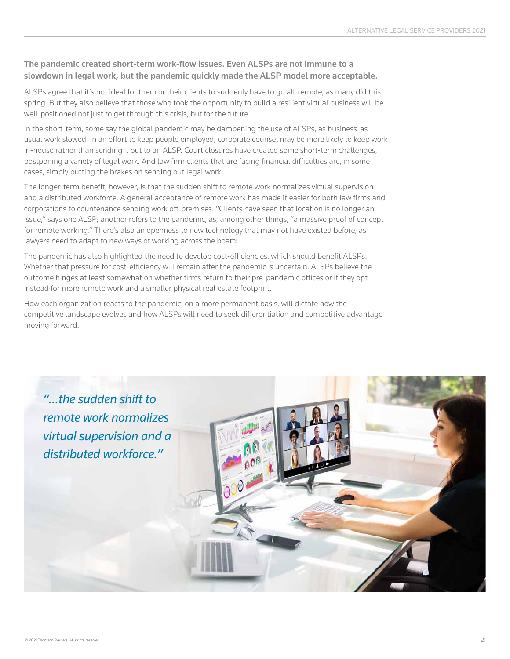#### The pandemic created short-term work-flow issues. Even ALSPs are not immune to a slowdown in legal work, but the pandemic quickly made the ALSP model more acceptable.

ALSPs agree that it's not ideal for them or their clients to suddenly have to go all-remote, as many did this spring. But they also believe that those who took the opportunity to build a resilient virtual business will be well-positioned not just to get through this crisis, but for the future.

In the short-term, some say the global pandemic may be dampening the use of ALSPs, as business-asusual work slowed. In an effort to keep people employed, corporate counsel may be more likely to keep work in-house rather than sending it out to an ALSP. Court closures have created some short-term challenges, postponing a variety of legal work. And law firm clients that are facing financial difficulties are, in some cases, simply putting the brakes on sending out legal work.

The longer-term benefit, however, is that the sudden shift to remote work normalizes virtual supervision and a distributed workforce. A general acceptance of remote work has made it easier for both law firms and corporations to countenance sending work off-premises. "Clients have seen that location is no longer an issue," says one ALSP; another refers to the pandemic, as, among other things, "a massive proof of concept for remote working." There's also an openness to new technology that may not have existed before, as lawyers need to adapt to new ways of working across the board.

The pandemic has also highlighted the need to develop cost-efficiencies, which should benefit ALSPs. Whether that pressure for cost-efficiency will remain after the pandemic is uncertain. ALSPs believe the outcome hinges at least somewhat on whether firms return to their pre-pandemic offices or if they opt instead for more remote work and a smaller physical real estate footprint.

How each organization reacts to the pandemic, on a more permanent basis, will dictate how the competitive landscape evolves and how ALSPs will need to seek differentiation and competitive advantage moving forward.

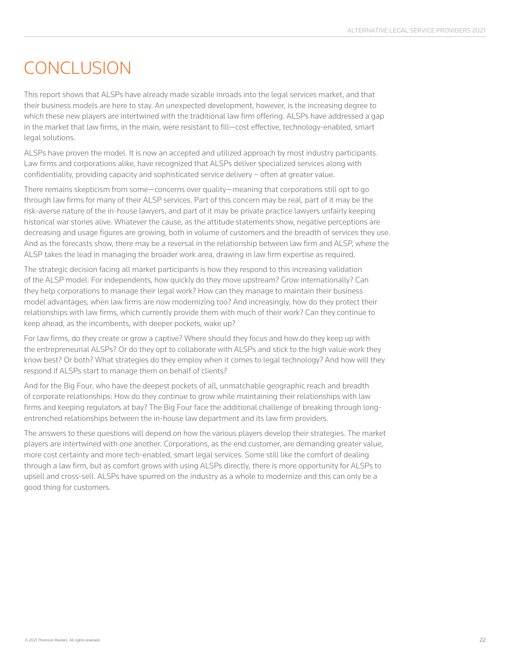### **CONCLUSION**

This report shows that ALSPs have already made sizable inroads into the legal services market, and that their business models are here to stay. An unexpected development, however, is the increasing degree to which these new players are intertwined with the traditional law firm offering. ALSPs have addressed a gap in the market that law firms, in the main, were resistant to fill—cost effective, technology-enabled, smart legal solutions.

ALSPs have proven the model. It is now an accepted and utilized approach by most industry participants. Law firms and corporations alike, have recognized that ALSPs deliver specialized services along with confidentiality, providing capacity and sophisticated service delivery – often at greater value.

There remains skepticism from some—concerns over quality—meaning that corporations still opt to go through law firms for many of their ALSP services. Part of this concern may be real, part of it may be the risk-averse nature of the in-house lawyers, and part of it may be private practice lawyers unfairly keeping historical war stories alive. Whatever the cause, as the attitude statements show, negative perceptions are decreasing and usage figures are growing, both in volume of customers and the breadth of services they use. And as the forecasts show, there may be a reversal in the relationship between law firm and ALSP, where the ALSP takes the lead in managing the broader work area, drawing in law firm expertise as required.

The strategic decision facing all market participants is how they respond to this increasing validation of the ALSP model. For independents, how quickly do they move upstream? Grow internationally? Can they help corporations to manage their legal work? How can they manage to maintain their business model advantages, when law firms are now modernizing too? And increasingly, how do they protect their relationships with law firms, which currently provide them with much of their work? Can they continue to keep ahead, as the incumbents, with deeper pockets, wake up?

For law firms, do they create or grow a captive? Where should they focus and how do they keep up with the entrepreneurial ALSPs? Or do they opt to collaborate with ALSPs and stick to the high value work they know best? Or both? What strategies do they employ when it comes to legal technology? And how will they respond if ALSPs start to manage them on behalf of clients?

And for the Big Four, who have the deepest pockets of all, unmatchable geographic reach and breadth of corporate relationships: How do they continue to grow while maintaining their relationships with law firms and keeping regulators at bay? The Big Four face the additional challenge of breaking through longentrenched relationships between the in-house law department and its law firm providers.

The answers to these questions will depend on how the various players develop their strategies. The market players are intertwined with one another. Corporations, as the end customer, are demanding greater value, more cost certainty and more tech-enabled, smart legal services. Some still like the comfort of dealing through a law firm, but as comfort grows with using ALSPs directly, there is more opportunity for ALSPs to upsell and cross-sell. ALSPs have spurred on the industry as a whole to modernize and this can only be a good thing for customers.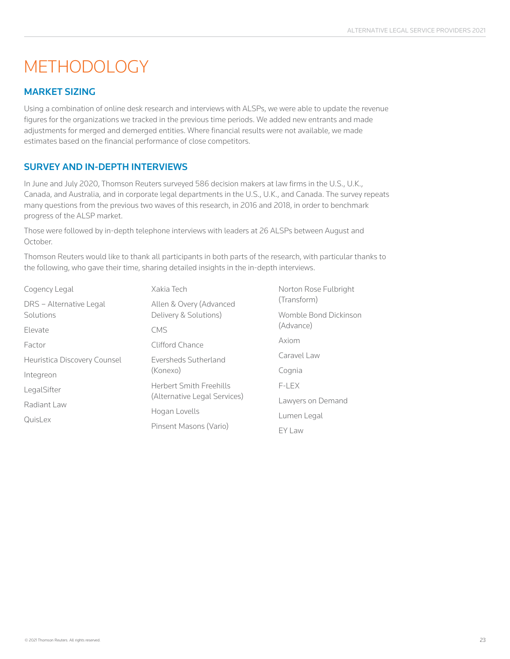### **METHODOLOGY**

#### Market sizing

Using a combination of online desk research and interviews with ALSPs, we were able to update the revenue figures for the organizations we tracked in the previous time periods. We added new entrants and made adjustments for merged and demerged entities. Where financial results were not available, we made estimates based on the financial performance of close competitors.

### Survey and in-depth interviews

In June and July 2020, Thomson Reuters surveyed 586 decision makers at law firms in the U.S., U.K., Canada, and Australia, and in corporate legal departments in the U.S., U.K., and Canada. The survey repeats many questions from the previous two waves of this research, in 2016 and 2018, in order to benchmark progress of the ALSP market.

Those were followed by in-depth telephone interviews with leaders at 26 ALSPs between August and October.

Thomson Reuters would like to thank all participants in both parts of the research, with particular thanks to the following, who gave their time, sharing detailed insights in the in-depth interviews.

| Cogency Legal                | Xakia Tech                     | Norton Rose Fulbright |
|------------------------------|--------------------------------|-----------------------|
| DRS - Alternative Legal      | Allen & Overy (Advanced        | (Transform)           |
| Solutions                    | Delivery & Solutions)          | Womble Bond Dickinson |
| Elevate                      | <b>CMS</b>                     | (Advance)             |
| Factor                       | Clifford Chance                | Axiom                 |
| Heuristica Discovery Counsel | Eversheds Sutherland           | Caravel Law           |
| Integreon                    | (Konexo)                       | Cognia                |
| LegalSifter                  | <b>Herbert Smith Freehills</b> | F-LEX                 |
| Radiant Law                  | (Alternative Legal Services)   | Lawyers on Demand     |
|                              | Hogan Lovells                  | Lumen Legal           |
| QuisLex                      | Pinsent Masons (Vario)         | EY Law                |